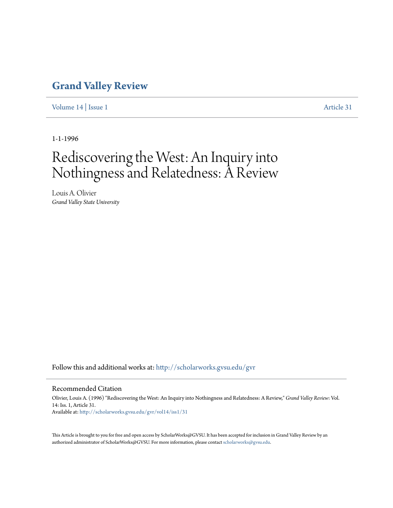## **[Grand Valley Review](http://scholarworks.gvsu.edu/gvr?utm_source=scholarworks.gvsu.edu%2Fgvr%2Fvol14%2Fiss1%2F31&utm_medium=PDF&utm_campaign=PDFCoverPages)**

[Volume 14](http://scholarworks.gvsu.edu/gvr/vol14?utm_source=scholarworks.gvsu.edu%2Fgvr%2Fvol14%2Fiss1%2F31&utm_medium=PDF&utm_campaign=PDFCoverPages) | [Issue 1](http://scholarworks.gvsu.edu/gvr/vol14/iss1?utm_source=scholarworks.gvsu.edu%2Fgvr%2Fvol14%2Fiss1%2F31&utm_medium=PDF&utm_campaign=PDFCoverPages) [Article 31](http://scholarworks.gvsu.edu/gvr/vol14/iss1/31?utm_source=scholarworks.gvsu.edu%2Fgvr%2Fvol14%2Fiss1%2F31&utm_medium=PDF&utm_campaign=PDFCoverPages)

1-1-1996

# Rediscovering the West: An Inquiry into Nothingness and Relatedness: A Review

Louis A. Olivier *Grand Valley State University*

Follow this and additional works at: [http://scholarworks.gvsu.edu/gvr](http://scholarworks.gvsu.edu/gvr?utm_source=scholarworks.gvsu.edu%2Fgvr%2Fvol14%2Fiss1%2F31&utm_medium=PDF&utm_campaign=PDFCoverPages)

#### Recommended Citation

Olivier, Louis A. (1996) "Rediscovering the West: An Inquiry into Nothingness and Relatedness: A Review," *Grand Valley Review*: Vol. 14: Iss. 1, Article 31. Available at: [http://scholarworks.gvsu.edu/gvr/vol14/iss1/31](http://scholarworks.gvsu.edu/gvr/vol14/iss1/31?utm_source=scholarworks.gvsu.edu%2Fgvr%2Fvol14%2Fiss1%2F31&utm_medium=PDF&utm_campaign=PDFCoverPages)

This Article is brought to you for free and open access by ScholarWorks@GVSU. It has been accepted for inclusion in Grand Valley Review by an authorized administrator of ScholarWorks@GVSU. For more information, please contact [scholarworks@gvsu.edu.](mailto:scholarworks@gvsu.edu)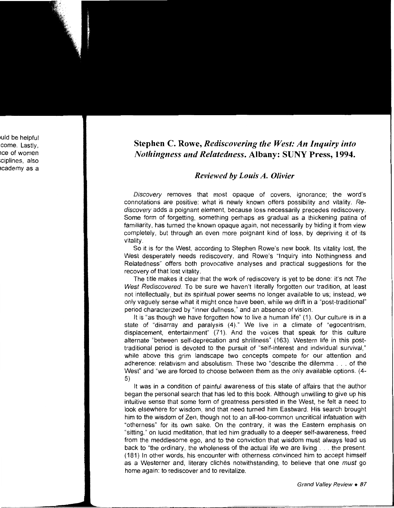### Stephen C. Rowe, *Rediscovering the West: An Inquiry into Nothingness and Relatedness.* Albany: SUNY Press, 1994.

#### *Reviewed* by *Louis A. Olivier*

Discovery removes that most opaque of covers, ignorance; the word's connotations are positive: what is newly known offers possibility and vitality. Rediscovery adds a poignant element, because loss necessarily precedes rediscovery. Some form of forgetting, something perhaps as gradual as a thickening patina of familiarity, has turned the known opaque again, not necessarily by hiding it from view completely, but through an even more poignant kind of loss, by depriving it of its vitality.

So it is for the West, according to Stephen Rowe's new book. Its vitality lost, the West desperately needs rediscovery, and Rowe's "Inquiry into Nothingness and Relatedness" offers both provocative analyses and practical suggestions for the recovery of that lost vitality.

The title makes it clear that the work of rediscovery is yet to be done: it's not The West Rediscovered. To be sure we haven't literally forgotten our tradition, at least not intellectually, but its spiritual power seems no longer available to us; instead, we only vaguely sense what it might once have been, while we drift in a "post-traditional" period characterized by "inner dullness," and an absence of vision.

It is "as though we have forgotten how to live a human life" (1). Our culture is in a state of "disarray and paralysis (4)." We live in a climate of "egocentrism, displacement, entertainment" (71 ). And the voices that speak for this culture alternate "between self-deprecation and shrillness" (163). Western life in this posttraditional period is devoted to the pursuit of "self-interest and individual survival," while above this grim landscape two concepts compete for our attention and adherence: relativism and absolutism. These two "describe the dilemma ... of the West" and "we are forced to choose between them as the only available options. (4- 5)

It was in a condition of painful awareness of this state of affairs that the author began the personal search that has led to this book. Although unwilling to give up his intuitive sense that some form of greatness persisted in the West, he felt a need to look elsewhere for wisdom, and that need turned him Eastward. His search brought him to the wisdom of Zen, though not to an all-too-common uncritical infatuation with "otherness" for its own sake. On the contrary, it was the Eastern emphasis on "sitting," on lucid meditation, that led him gradually to a deeper self-awareness, freed from the meddlesome ego, and to the conviction that wisdom must always lead us back to "the ordinary, the wholeness of the actual life we are living ... the present. (181) In other words, his encounter with otherness convinced him to accept himself as a Westerner and, literary clichés notwithstanding, to believe that one *must* go home again: to rediscover and to revitalize.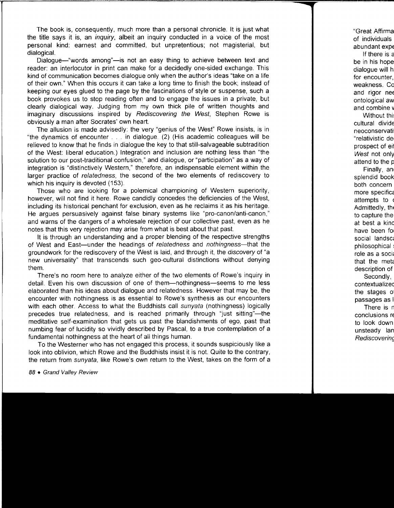The book is, consequently, much more than a personal chronicle. It is just what the title says it is, an *inquiry*, albeit an inquiry conducted in a voice of the most personal kind: earnest and committed, but unpretentious; not magisterial, but dialogical.

Dialogue—"words among"—is not an easy thing to achieve between text and reader: an interlocutor in print can make for a decidedly one-sided exchange. This kind of communication becomes dialogue only when the author's ideas "take on a life of their own." When this occurs it can take a long time to finish the book; instead of keeping our eyes glued to the page by the fascinations of style or suspense, such a book provokes us to stop reading often and to engage the issues in a private, but clearly dialogical way. Judging from my own thick pile of written thoughts and imaginary discussions inspired by Rediscovering the West, Stephen Rowe is obviously a man after Socrates' own heart.

The allusion is made advisedly: the very "genius of the West" Rowe insists, is in "the dynamics of encounter ... in dialogue. (2) (His academic colleagues will be relieved to know that he finds in dialogue the key to that still-salvageable subtradition of the West: liberal education.) Integration and inclusion are nothing less than "the solution to our post-traditional confusion," and dialogue, or "participation" as a way of integration is "distinctively Western," therefore, an indispensable element within the larger practice of relatedness, the second of the two elements of rediscovery to which his inquiry is devoted (153).

Those who are looking for a polemical championing of Western superiority, however, will not find it here. Rowe candidly concedes the deficiencies of the West, including its historical penchant for exclusion, even as he reclaims it as his heritage. He argues persuasively against false binary systems like "pro-canon/anti-canon," and warns of the dangers of a wholesale rejection of our collective past, even as he notes that this very rejection may arise from what is best about that past.

It is through an understanding and a proper blending of the respective strengths of West and East-under the headings of relatedness and nothingness-that the groundwork for the rediscovery of the West is laid, and through it, the discovery of "a new universality" that transcends such gee-cultural distinctions without denying them.

There's no room here to analyze either of the two elements of Rowe's inquiry in detail. Even his own discussion of one of them—nothingness—seems to me less elaborated than his ideas about dialogue and relatedness. However that may be, the encounter with nothingness is as essential to Rowe's synthesis as our encounters with each other. Access to what the Buddhists call sunyata (nothingness) logically precedes true relatedness, and is reached primarily through "just sitting"—the meditative self-examination that gets us past the blandishments of ego, past that numbing fear of lucidity so vividly described by Pascal, to a true contemplation of a fundamental nothingness at the heart of all things human.

To the Westerner who has not engaged this process, it sounds suspiciously like a look into oblivion, which Rowe and the Buddhists insist it is not. Quite to the contrary, the return from sunyata, like Rowe's own return to the West, takes on the form of a